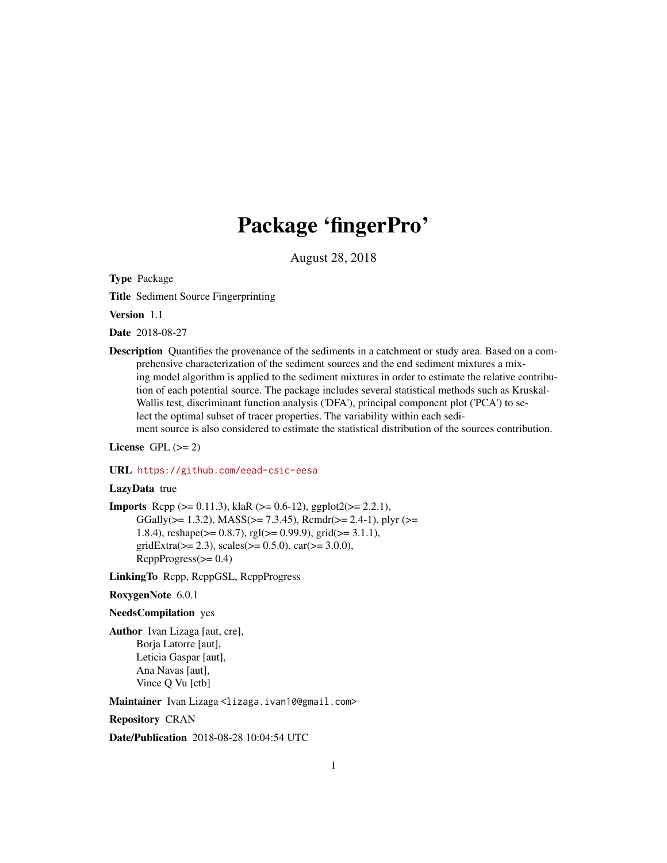## Package 'fingerPro'

August 28, 2018

Type Package

Title Sediment Source Fingerprinting

Version 1.1

Date 2018-08-27

Description Quantifies the provenance of the sediments in a catchment or study area. Based on a comprehensive characterization of the sediment sources and the end sediment mixtures a mixing model algorithm is applied to the sediment mixtures in order to estimate the relative contribution of each potential source. The package includes several statistical methods such as Kruskal-Wallis test, discriminant function analysis ('DFA'), principal component plot ('PCA') to select the optimal subset of tracer properties. The variability within each sediment source is also considered to estimate the statistical distribution of the sources contribution.

License GPL  $(>= 2)$ 

#### URL <https://github.com/eead-csic-eesa>

#### LazyData true

**Imports** Rcpp ( $>= 0.11.3$ ), klaR ( $>= 0.6-12$ ), ggplot2( $>= 2.2.1$ ), GGally( $>= 1.3.2$ ), MASS( $>= 7.3.45$ ), Rcmdr( $>= 2.4-1$ ), plyr ( $>=$ 1.8.4), reshape(>= 0.8.7), rgl(>= 0.99.9), grid(>= 3.1.1), gridExtra( $>= 2.3$ ), scales( $>= 0.5.0$ ), car( $>= 3.0.0$ ),  $RcppProgress(>= 0.4)$ 

LinkingTo Rcpp, RcppGSL, RcppProgress

RoxygenNote 6.0.1

#### NeedsCompilation yes

Author Ivan Lizaga [aut, cre], Borja Latorre [aut], Leticia Gaspar [aut], Ana Navas [aut], Vince Q Vu [ctb]

Maintainer Ivan Lizaga <lizaga.ivan10@gmail.com>

Repository CRAN

Date/Publication 2018-08-28 10:04:54 UTC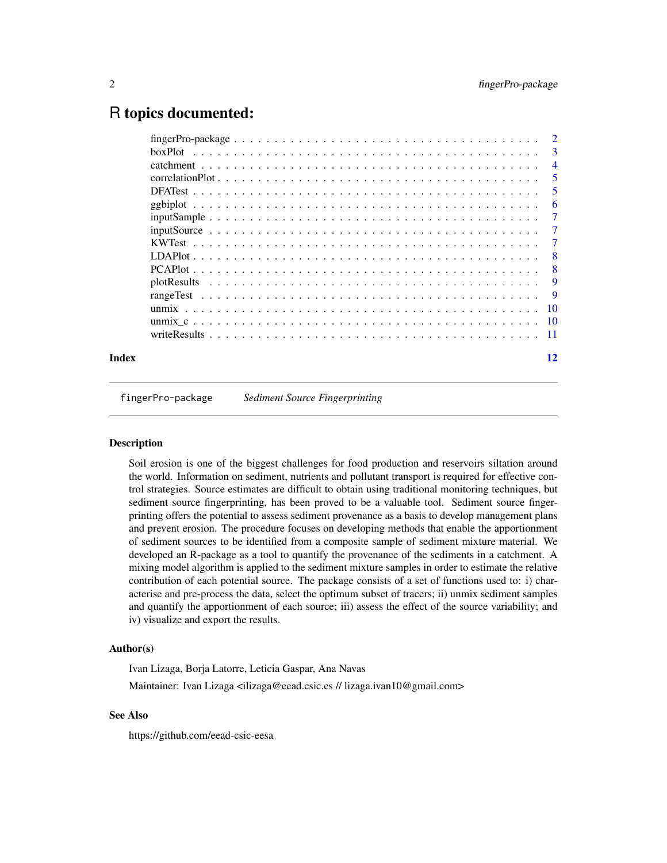## <span id="page-1-0"></span>R topics documented:

| $fingerPro-package \dots \dots \dots \dots \dots \dots \dots \dots \dots \dots \dots \dots \dots \dots \dots \dots \dots$ |  |  |  |  |  |  |  |  |  |  |  |  |  |  |  |                           |
|---------------------------------------------------------------------------------------------------------------------------|--|--|--|--|--|--|--|--|--|--|--|--|--|--|--|---------------------------|
|                                                                                                                           |  |  |  |  |  |  |  |  |  |  |  |  |  |  |  | $\overline{\phantom{a}3}$ |
|                                                                                                                           |  |  |  |  |  |  |  |  |  |  |  |  |  |  |  | $\overline{4}$            |
|                                                                                                                           |  |  |  |  |  |  |  |  |  |  |  |  |  |  |  | 5                         |
|                                                                                                                           |  |  |  |  |  |  |  |  |  |  |  |  |  |  |  | -5                        |
|                                                                                                                           |  |  |  |  |  |  |  |  |  |  |  |  |  |  |  | 6                         |
| $inputSample \dots \dots \dots \dots \dots \dots \dots \dots \dots \dots \dots \dots \dots \dots \dots \dots$             |  |  |  |  |  |  |  |  |  |  |  |  |  |  |  | 7                         |
|                                                                                                                           |  |  |  |  |  |  |  |  |  |  |  |  |  |  |  | $\overline{7}$            |
|                                                                                                                           |  |  |  |  |  |  |  |  |  |  |  |  |  |  |  | $\overline{7}$            |
|                                                                                                                           |  |  |  |  |  |  |  |  |  |  |  |  |  |  |  | - 8                       |
|                                                                                                                           |  |  |  |  |  |  |  |  |  |  |  |  |  |  |  | $\mathbf{8}$              |
|                                                                                                                           |  |  |  |  |  |  |  |  |  |  |  |  |  |  |  | 9                         |
|                                                                                                                           |  |  |  |  |  |  |  |  |  |  |  |  |  |  |  | - 9                       |
|                                                                                                                           |  |  |  |  |  |  |  |  |  |  |  |  |  |  |  |                           |
|                                                                                                                           |  |  |  |  |  |  |  |  |  |  |  |  |  |  |  |                           |
|                                                                                                                           |  |  |  |  |  |  |  |  |  |  |  |  |  |  |  |                           |
| Index                                                                                                                     |  |  |  |  |  |  |  |  |  |  |  |  |  |  |  | 12                        |

fingerPro-package *Sediment Source Fingerprinting*

#### Description

Soil erosion is one of the biggest challenges for food production and reservoirs siltation around the world. Information on sediment, nutrients and pollutant transport is required for effective control strategies. Source estimates are difficult to obtain using traditional monitoring techniques, but sediment source fingerprinting, has been proved to be a valuable tool. Sediment source fingerprinting offers the potential to assess sediment provenance as a basis to develop management plans and prevent erosion. The procedure focuses on developing methods that enable the apportionment of sediment sources to be identified from a composite sample of sediment mixture material. We developed an R-package as a tool to quantify the provenance of the sediments in a catchment. A mixing model algorithm is applied to the sediment mixture samples in order to estimate the relative contribution of each potential source. The package consists of a set of functions used to: i) characterise and pre-process the data, select the optimum subset of tracers; ii) unmix sediment samples and quantify the apportionment of each source; iii) assess the effect of the source variability; and iv) visualize and export the results.

#### Author(s)

Ivan Lizaga, Borja Latorre, Leticia Gaspar, Ana Navas Maintainer: Ivan Lizaga <ilizaga@eead.csic.es // lizaga.ivan10@gmail.com>

#### See Also

https://github.com/eead-csic-eesa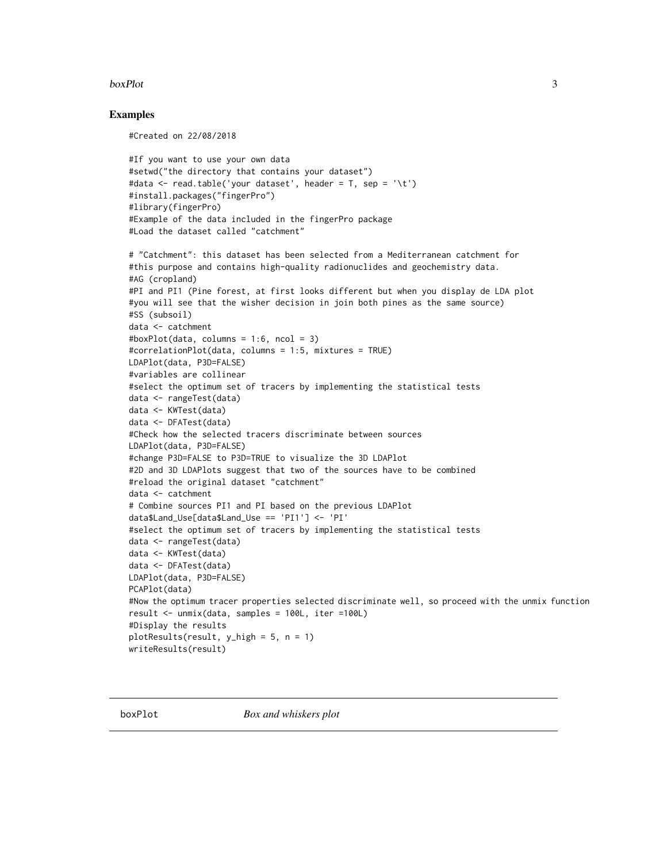#### <span id="page-2-0"></span>boxPlot 3

#### Examples

#Created on 22/08/2018

```
#If you want to use your own data
#setwd("the directory that contains your dataset")
#data <- read.table('your dataset', header = T, sep = '\t')
#install.packages("fingerPro")
#library(fingerPro)
#Example of the data included in the fingerPro package
#Load the dataset called "catchment"
```

```
# "Catchment": this dataset has been selected from a Mediterranean catchment for
#this purpose and contains high-quality radionuclides and geochemistry data.
#AG (cropland)
#PI and PI1 (Pine forest, at first looks different but when you display de LDA plot
#you will see that the wisher decision in join both pines as the same source)
#SS (subsoil)
data <- catchment
#boxPlot(data, columns = 1:6, ncol = 3)
#correlationPlot(data, columns = 1:5, mixtures = TRUE)
LDAPlot(data, P3D=FALSE)
#variables are collinear
#select the optimum set of tracers by implementing the statistical tests
data <- rangeTest(data)
data <- KWTest(data)
data <- DFATest(data)
#Check how the selected tracers discriminate between sources
LDAPlot(data, P3D=FALSE)
#change P3D=FALSE to P3D=TRUE to visualize the 3D LDAPlot
#2D and 3D LDAPlots suggest that two of the sources have to be combined
#reload the original dataset "catchment"
data <- catchment
# Combine sources PI1 and PI based on the previous LDAPlot
data$Land_Use[data$Land_Use == 'PI1'] <- 'PI'
#select the optimum set of tracers by implementing the statistical tests
data <- rangeTest(data)
data <- KWTest(data)
data <- DFATest(data)
LDAPlot(data, P3D=FALSE)
PCAPlot(data)
#Now the optimum tracer properties selected discriminate well, so proceed with the unmix function
result <- unmix(data, samples = 100L, iter =100L)
#Display the results
plotResults(result, y_high = 5, n = 1)
writeResults(result)
```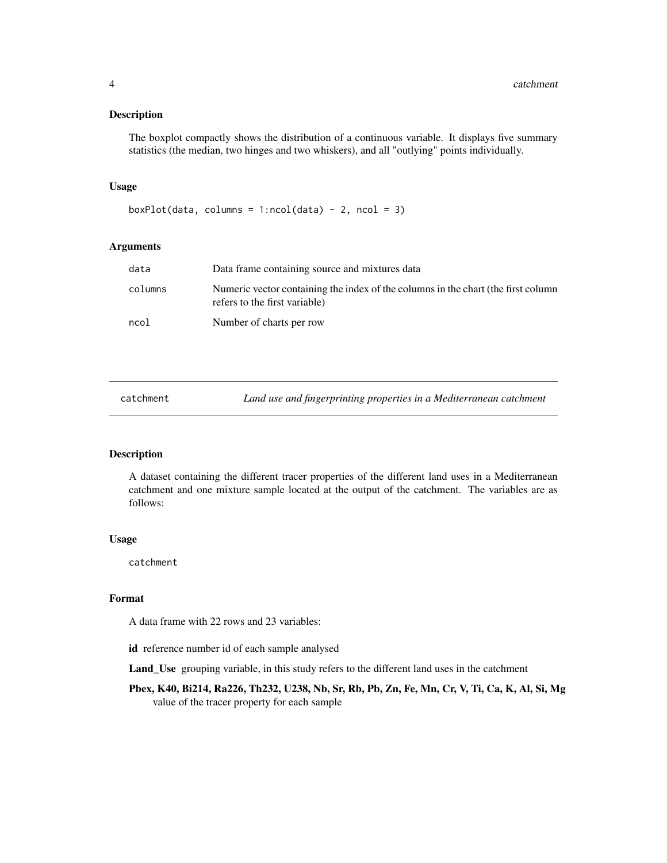<span id="page-3-0"></span>The boxplot compactly shows the distribution of a continuous variable. It displays five summary statistics (the median, two hinges and two whiskers), and all "outlying" points individually.

#### Usage

```
boxPlot(data, columns = 1:ncol(data) - 2, ncol = 3)
```
#### Arguments

| data    | Data frame containing source and mixtures data                                                                     |
|---------|--------------------------------------------------------------------------------------------------------------------|
| columns | Numeric vector containing the index of the columns in the chart (the first column<br>refers to the first variable) |
| ncol    | Number of charts per row                                                                                           |

| catchment | Land use and fingerprinting properties in a Mediterranean catchment |
|-----------|---------------------------------------------------------------------|
|-----------|---------------------------------------------------------------------|

#### Description

A dataset containing the different tracer properties of the different land uses in a Mediterranean catchment and one mixture sample located at the output of the catchment. The variables are as follows:

#### Usage

catchment

#### Format

A data frame with 22 rows and 23 variables:

id reference number id of each sample analysed

Land\_Use grouping variable, in this study refers to the different land uses in the catchment

Pbex, K40, Bi214, Ra226, Th232, U238, Nb, Sr, Rb, Pb, Zn, Fe, Mn, Cr, V, Ti, Ca, K, Al, Si, Mg value of the tracer property for each sample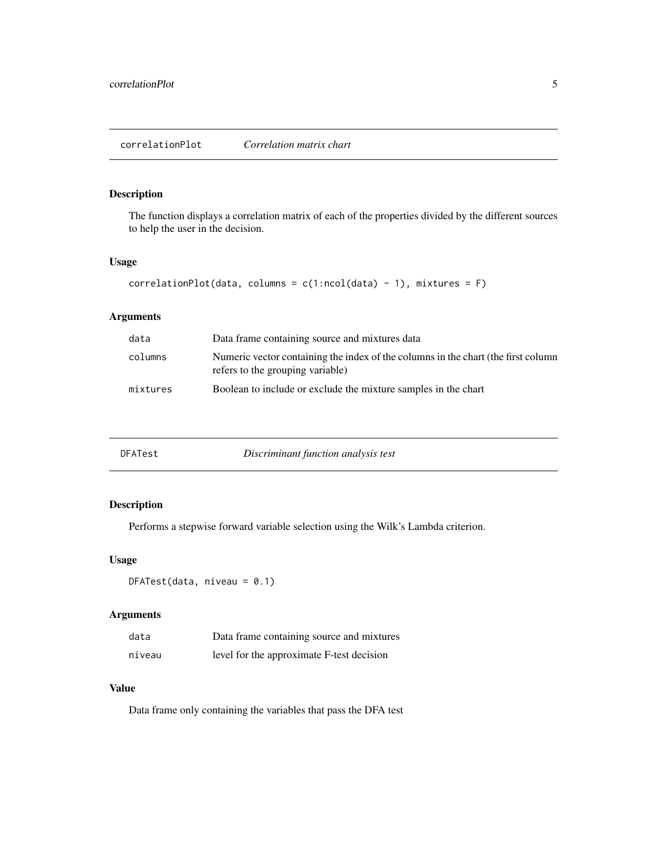<span id="page-4-0"></span>The function displays a correlation matrix of each of the properties divided by the different sources to help the user in the decision.

#### Usage

```
correlationPlot(data, columns = c(1:ncol(data) - 1), mixtures = F)
```
#### Arguments

| data     | Data frame containing source and mixtures data                                                                        |
|----------|-----------------------------------------------------------------------------------------------------------------------|
| columns  | Numeric vector containing the index of the columns in the chart (the first column<br>refers to the grouping variable) |
| mixtures | Boolean to include or exclude the mixture samples in the chart                                                        |

| Discriminant function analysis test<br>DFATest |  |  |  |
|------------------------------------------------|--|--|--|
|------------------------------------------------|--|--|--|

#### Description

Performs a stepwise forward variable selection using the Wilk's Lambda criterion.

#### Usage

```
DFATest(data, niveau = 0.1)
```
#### Arguments

| data   | Data frame containing source and mixtures |
|--------|-------------------------------------------|
| niveau | level for the approximate F-test decision |

#### Value

Data frame only containing the variables that pass the DFA test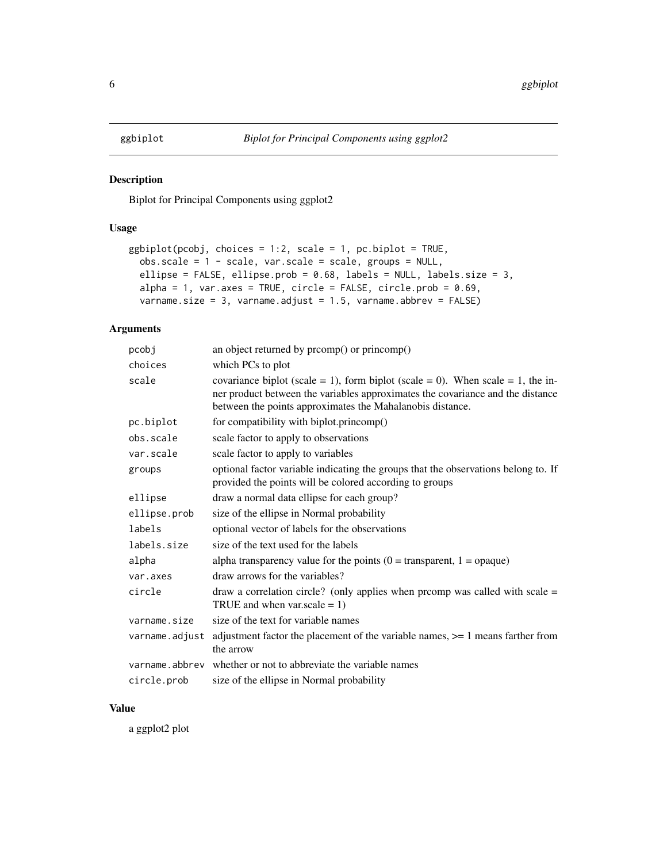<span id="page-5-0"></span>Biplot for Principal Components using ggplot2

#### Usage

```
ggbiplot(pcobj, choices = 1:2, scale = 1, pc.biplot = TRUE,obs.\text{scale} = 1 - scale, \text{var}.\text{scale} = scale, \text{groups} = NULL,ellipse = FALSE, ellipse.prob = 0.68, labels = NULL, labels.size = 3,
  alpha = 1, var.axes = TRUE, circle = FALSE, circle.prob = 0.69,
  varname.size = 3, varname.adjust = 1.5, varname.abbrev = FALSE)
```
#### Arguments

| pcobj          | an object returned by promp() or princomp()                                                                                                                                                                                    |
|----------------|--------------------------------------------------------------------------------------------------------------------------------------------------------------------------------------------------------------------------------|
| choices        | which PCs to plot                                                                                                                                                                                                              |
| scale          | covariance biplot (scale = 1), form biplot (scale = 0). When scale = 1, the in-<br>ner product between the variables approximates the covariance and the distance<br>between the points approximates the Mahalanobis distance. |
| pc.biplot      | for compatibility with biplot.princomp()                                                                                                                                                                                       |
| obs.scale      | scale factor to apply to observations                                                                                                                                                                                          |
| var.scale      | scale factor to apply to variables                                                                                                                                                                                             |
| groups         | optional factor variable indicating the groups that the observations belong to. If<br>provided the points will be colored according to groups                                                                                  |
| ellipse        | draw a normal data ellipse for each group?                                                                                                                                                                                     |
| ellipse.prob   | size of the ellipse in Normal probability                                                                                                                                                                                      |
| labels         | optional vector of labels for the observations                                                                                                                                                                                 |
| labels.size    | size of the text used for the labels                                                                                                                                                                                           |
| alpha          | alpha transparency value for the points ( $0 =$ transparent, $1 =$ opaque)                                                                                                                                                     |
| var.axes       | draw arrows for the variables?                                                                                                                                                                                                 |
| circle         | draw a correlation circle? (only applies when promp was called with scale $=$<br>TRUE and when var.scale $= 1$ )                                                                                                               |
| varname.size   | size of the text for variable names                                                                                                                                                                                            |
| varname.adjust | adjustment factor the placement of the variable names, $\geq$ 1 means farther from<br>the arrow                                                                                                                                |
|                | varname. abbrev whether or not to abbreviate the variable names                                                                                                                                                                |
| circle.prob    | size of the ellipse in Normal probability                                                                                                                                                                                      |

#### Value

a ggplot2 plot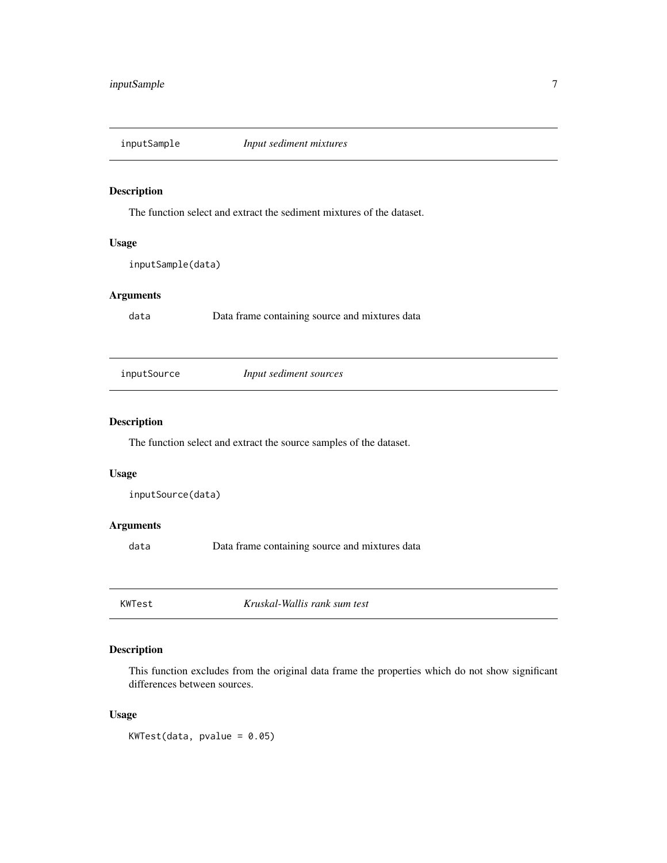<span id="page-6-0"></span>

The function select and extract the sediment mixtures of the dataset.

#### Usage

inputSample(data)

#### Arguments

data Data frame containing source and mixtures data

inputSource *Input sediment sources*

#### Description

The function select and extract the source samples of the dataset.

#### Usage

inputSource(data)

#### Arguments

data Data frame containing source and mixtures data

KWTest *Kruskal-Wallis rank sum test*

#### Description

This function excludes from the original data frame the properties which do not show significant differences between sources.

#### Usage

 $KWTest(data, pvalue = 0.05)$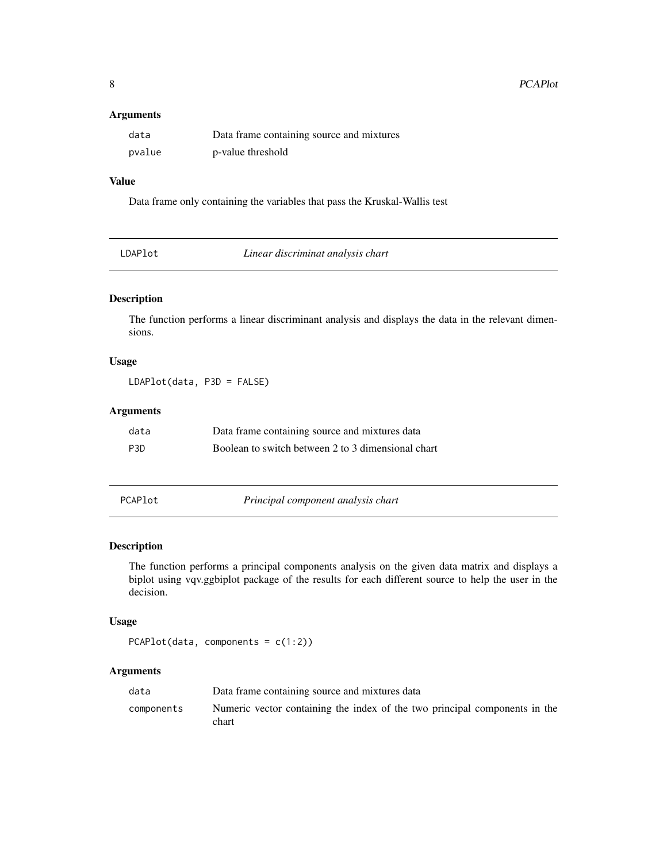#### <span id="page-7-0"></span>Arguments

| data   | Data frame containing source and mixtures |
|--------|-------------------------------------------|
| pvalue | p-value threshold                         |

#### Value

Data frame only containing the variables that pass the Kruskal-Wallis test

| Linear discriminat analysis chart<br>LDAPlot |  |
|----------------------------------------------|--|
|----------------------------------------------|--|

#### Description

The function performs a linear discriminant analysis and displays the data in the relevant dimensions.

#### Usage

LDAPlot(data, P3D = FALSE)

#### Arguments

| data             | Data frame containing source and mixtures data     |
|------------------|----------------------------------------------------|
| P <sub>3</sub> D | Boolean to switch between 2 to 3 dimensional chart |

PCAPlot *Principal component analysis chart*

#### Description

The function performs a principal components analysis on the given data matrix and displays a biplot using vqv.ggbiplot package of the results for each different source to help the user in the decision.

#### Usage

```
PCAPlot(data, components = c(1:2))
```
#### Arguments

| data       | Data frame containing source and mixtures data                                      |
|------------|-------------------------------------------------------------------------------------|
| components | Numeric vector containing the index of the two principal components in the<br>chart |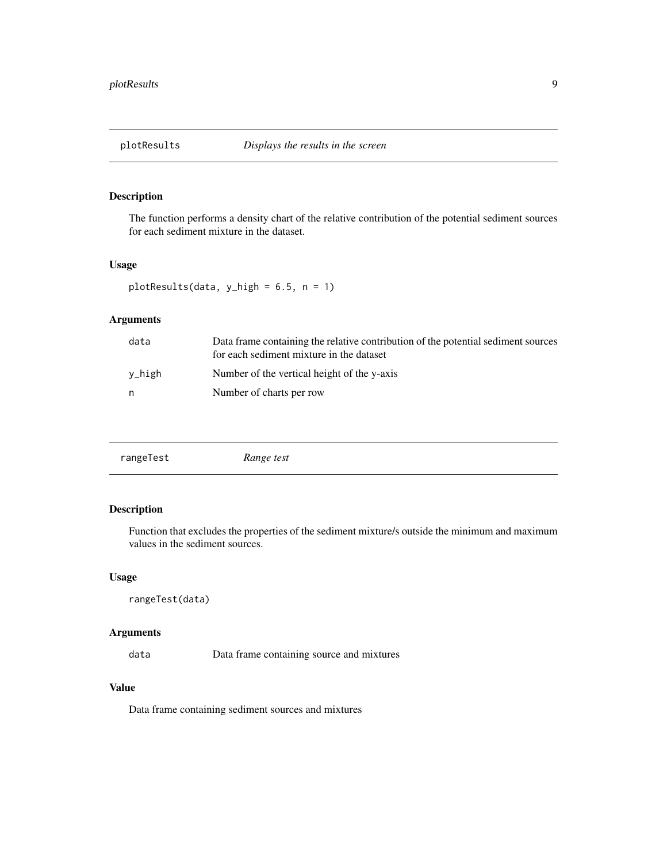<span id="page-8-0"></span>

The function performs a density chart of the relative contribution of the potential sediment sources for each sediment mixture in the dataset.

#### Usage

plotResults(data, y\_high = 6.5, n = 1)

#### Arguments

| data   | Data frame containing the relative contribution of the potential sediment sources<br>for each sediment mixture in the dataset |
|--------|-------------------------------------------------------------------------------------------------------------------------------|
| v_high | Number of the vertical height of the y-axis                                                                                   |
| n      | Number of charts per row                                                                                                      |
|        |                                                                                                                               |

#### Description

Function that excludes the properties of the sediment mixture/s outside the minimum and maximum values in the sediment sources.

#### Usage

```
rangeTest(data)
```
#### Arguments

data Data frame containing source and mixtures

#### Value

Data frame containing sediment sources and mixtures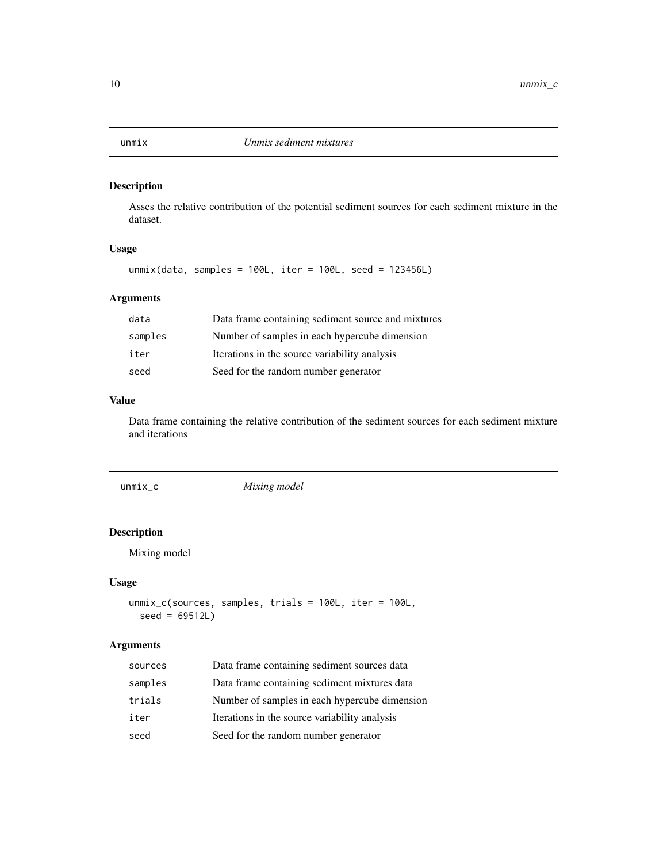<span id="page-9-0"></span>

Asses the relative contribution of the potential sediment sources for each sediment mixture in the dataset.

#### Usage

unmix(data, samples = 100L, iter = 100L, seed = 123456L)

#### Arguments

| data    | Data frame containing sediment source and mixtures |
|---------|----------------------------------------------------|
| samples | Number of samples in each hypercube dimension      |
| iter    | Iterations in the source variability analysis      |
| seed    | Seed for the random number generator               |

#### Value

Data frame containing the relative contribution of the sediment sources for each sediment mixture and iterations

| $unmix_c$ | Mixing model |  |
|-----------|--------------|--|
|           |              |  |

#### Description

Mixing model

#### Usage

```
unmix_c(sources, samples, trials = 100L, iter = 100L,
  seed = 69512L)
```
#### Arguments

| sources | Data frame containing sediment sources data   |
|---------|-----------------------------------------------|
| samples | Data frame containing sediment mixtures data  |
| trials  | Number of samples in each hypercube dimension |
| iter    | Iterations in the source variability analysis |
| seed    | Seed for the random number generator          |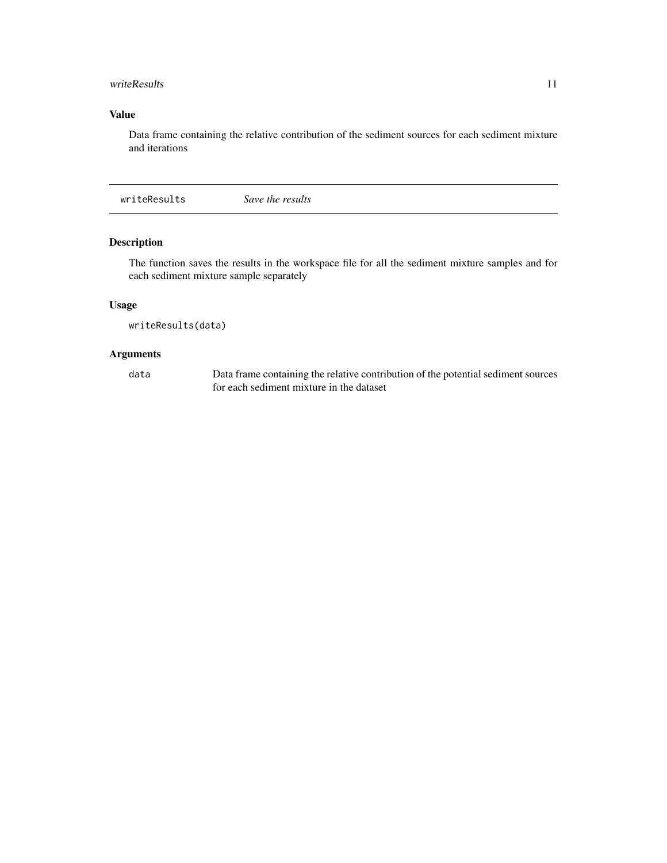#### <span id="page-10-0"></span>writeResults 11

#### Value

Data frame containing the relative contribution of the sediment sources for each sediment mixture and iterations

writeResults *Save the results*

#### Description

The function saves the results in the workspace file for all the sediment mixture samples and for each sediment mixture sample separately

#### Usage

writeResults(data)

#### Arguments

data Data frame containing the relative contribution of the potential sediment sources for each sediment mixture in the dataset